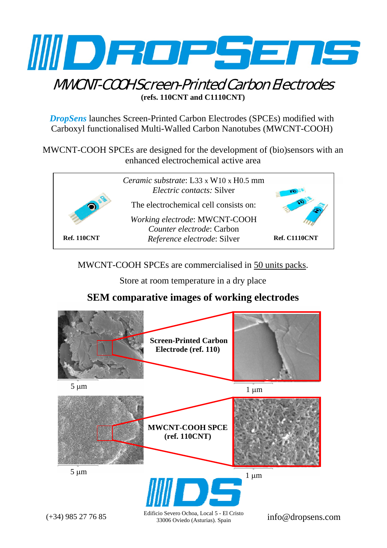

## MWCNT-COOH Screen-Printed Carbon Electrodes **(refs. 110CNT and C1110CNT)**

*DropSens* launches Screen-Printed Carbon Electrodes (SPCEs) modified with Carboxyl functionalised Multi-Walled Carbon Nanotubes (MWCNT-COOH)

MWCNT-COOH SPCEs are designed for the development of (bio)sensors with an enhanced electrochemical active area



MWCNT-COOH SPCEs are commercialised in 50 units packs.

Store at room temperature in a dry place

## **SEM comparative images of working electrodes**



33006 Oviedo (Asturias). Spain